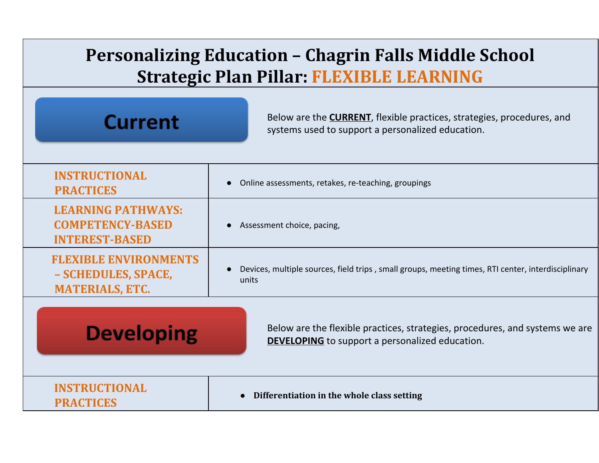| <b>Personalizing Education – Chagrin Falls Middle School</b><br><b>Strategic Plan Pillar: FLEXIBLE LEARNING</b> |                                                                                                                                        |
|-----------------------------------------------------------------------------------------------------------------|----------------------------------------------------------------------------------------------------------------------------------------|
| <b>Current</b>                                                                                                  | Below are the <b>CURRENT</b> , flexible practices, strategies, procedures, and<br>systems used to support a personalized education.    |
| <b>INSTRUCTIONAL</b><br><b>PRACTICES</b>                                                                        | Online assessments, retakes, re-teaching, groupings                                                                                    |
| <b>LEARNING PATHWAYS:</b><br><b>COMPETENCY-BASED</b><br><b>INTEREST-BASED</b>                                   | Assessment choice, pacing,                                                                                                             |
| <b>FLEXIBLE ENVIRONMENTS</b><br>- SCHEDULES, SPACE,<br><b>MATERIALS, ETC.</b>                                   | Devices, multiple sources, field trips, small groups, meeting times, RTI center, interdisciplinary<br>units                            |
| <b>Developing</b>                                                                                               | Below are the flexible practices, strategies, procedures, and systems we are<br><b>DEVELOPING</b> to support a personalized education. |
| <b>INSTRUCTIONAL</b><br><b>PRACTICES</b>                                                                        | Differentiation in the whole class setting                                                                                             |